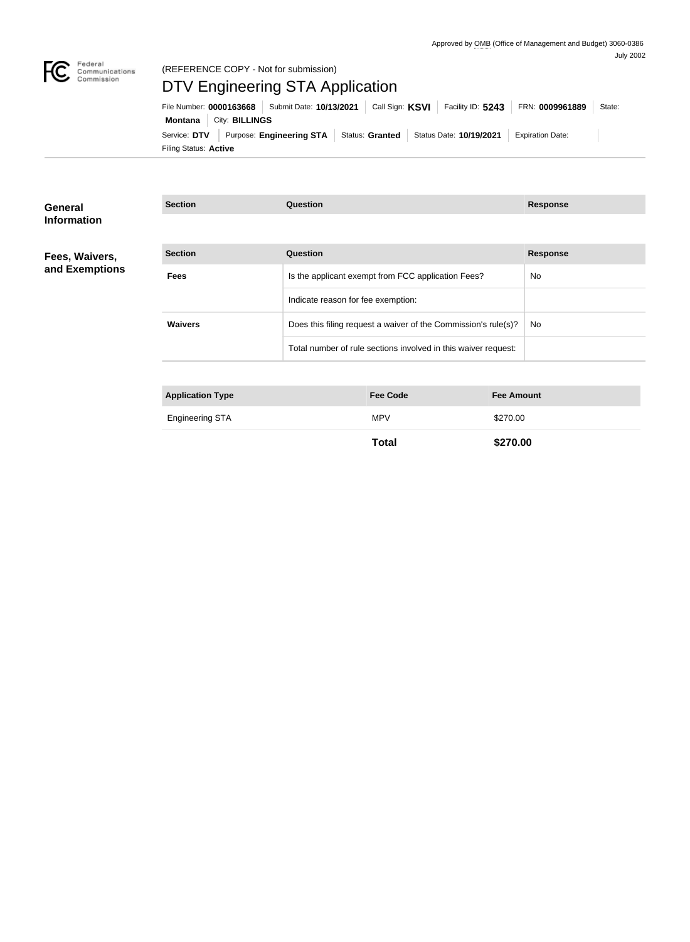

## (REFERENCE COPY - Not for submission)

# DTV Engineering STA Application

| File Number: 0000163668   Submit Date: 10/13/2021   Call Sign: KSVI   Facility ID: 5243   FRN: 0009961889 |  |  |  |  |                         | State: |  |
|-----------------------------------------------------------------------------------------------------------|--|--|--|--|-------------------------|--------|--|
| <b>Montana</b>   City: <b>BILLINGS</b>                                                                    |  |  |  |  |                         |        |  |
| Service: DTV Purpose: Engineering STA Status: Granted Status Date: 10/19/2021                             |  |  |  |  | <b>Expiration Date:</b> |        |  |
| Filing Status: <b>Active</b>                                                                              |  |  |  |  |                         |        |  |

| General            | <b>Section</b>          | <b>Question</b>                                                | <b>Response</b> |
|--------------------|-------------------------|----------------------------------------------------------------|-----------------|
| <b>Information</b> |                         |                                                                |                 |
| Fees, Waivers,     | <b>Section</b>          | <b>Question</b>                                                | <b>Response</b> |
| and Exemptions     | <b>Fees</b>             | Is the applicant exempt from FCC application Fees?             | No.             |
|                    |                         | Indicate reason for fee exemption:                             |                 |
|                    | <b>Waivers</b>          | Does this filing request a waiver of the Commission's rule(s)? | No              |
|                    |                         | Total number of rule sections involved in this waiver request: |                 |
|                    |                         |                                                                |                 |
|                    | <b>Application Type</b> | <b>Fee Amount</b><br><b>Fee Code</b>                           |                 |

| <b>Engineering STA</b><br><b>MPV</b> |  |
|--------------------------------------|--|
| . .                                  |  |

**Total \$270.00**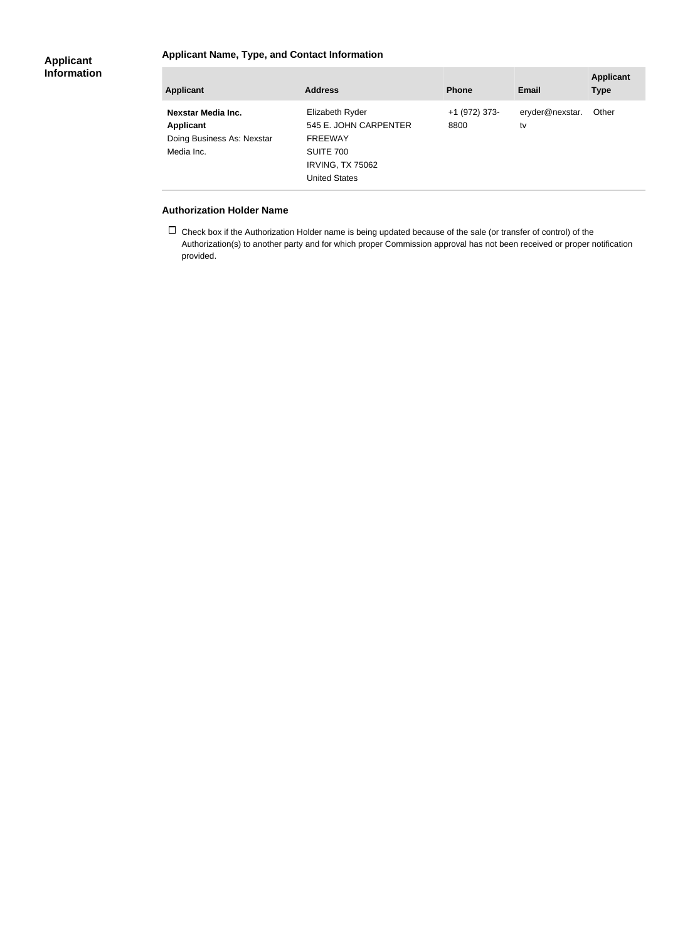### **Applicant Name, Type, and Contact Information**

#### **Applicant Information**

| Nexstar Media Inc.<br>eryder@nexstar.<br>Elizabeth Ryder<br>+1 (972) 373-<br>Other<br>545 E. JOHN CARPENTER<br>Applicant<br>8800<br>tv<br>Doing Business As: Nexstar<br><b>FREEWAY</b><br>Media Inc.<br>SUITE 700<br><b>IRVING, TX 75062</b><br><b>United States</b> | <b>Applicant</b> | <b>Address</b> | <b>Phone</b> | <b>Email</b> | <b>Applicant</b><br><b>Type</b> |
|----------------------------------------------------------------------------------------------------------------------------------------------------------------------------------------------------------------------------------------------------------------------|------------------|----------------|--------------|--------------|---------------------------------|
|                                                                                                                                                                                                                                                                      |                  |                |              |              |                                 |

#### **Authorization Holder Name**

п

 $\Box$  Check box if the Authorization Holder name is being updated because of the sale (or transfer of control) of the Authorization(s) to another party and for which proper Commission approval has not been received or proper notification provided.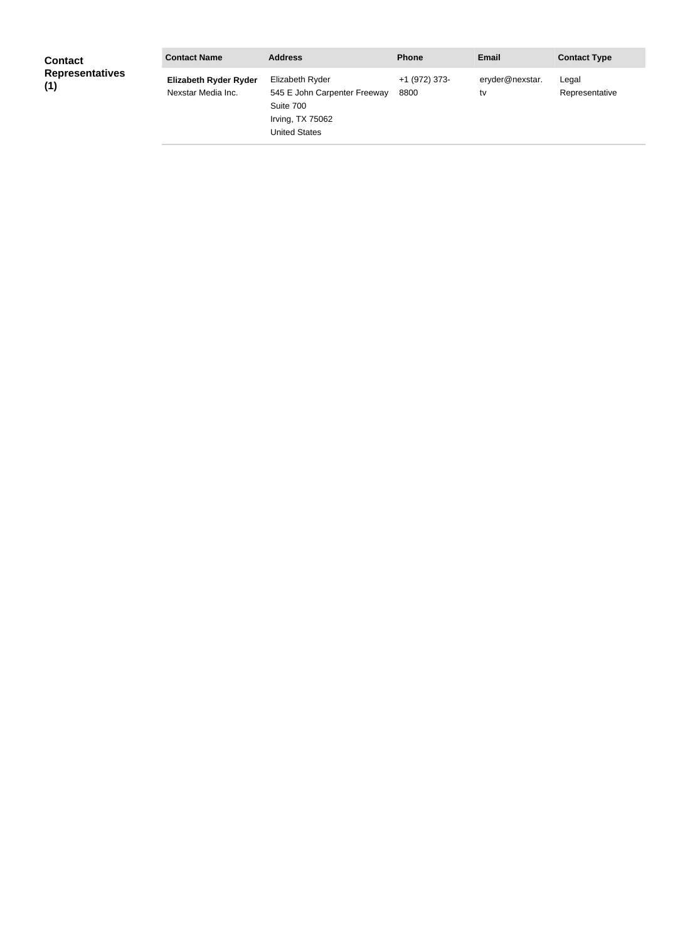| <b>Contact</b>                | <b>Contact Name</b>                                | <b>Address</b>                                                                                           | <b>Phone</b>          | <b>Email</b>          | <b>Contact Type</b>     |
|-------------------------------|----------------------------------------------------|----------------------------------------------------------------------------------------------------------|-----------------------|-----------------------|-------------------------|
| <b>Representatives</b><br>(1) | <b>Elizabeth Ryder Ryder</b><br>Nexstar Media Inc. | Elizabeth Ryder<br>545 E John Carpenter Freeway<br>Suite 700<br>Irving, TX 75062<br><b>United States</b> | +1 (972) 373-<br>8800 | eryder@nexstar.<br>tv | Legal<br>Representative |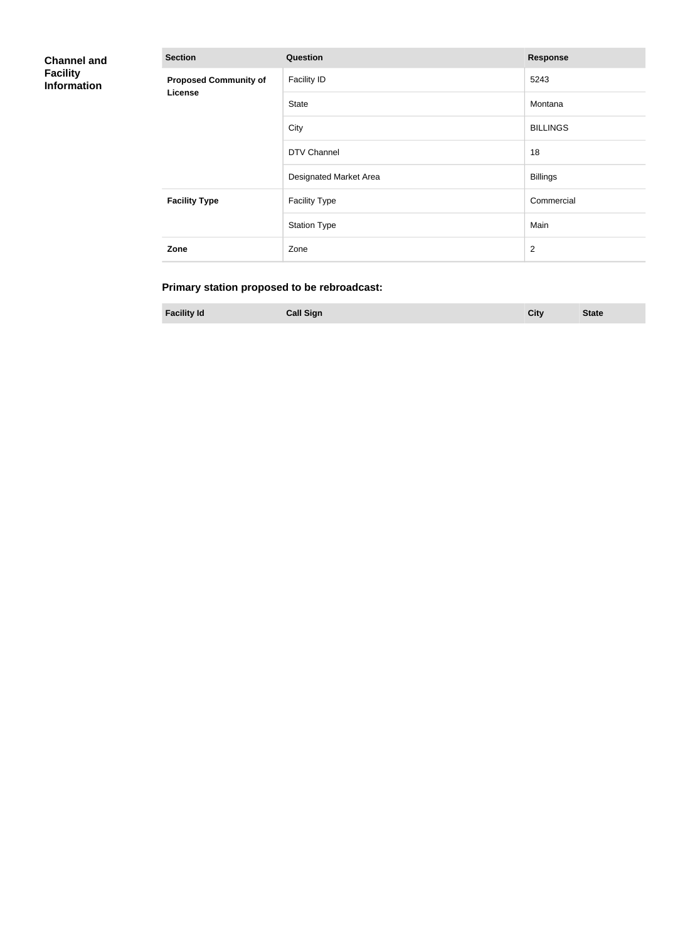| <b>Channel and</b>                    | <b>Section</b>               | Question               | <b>Response</b> |
|---------------------------------------|------------------------------|------------------------|-----------------|
| <b>Facility</b><br><b>Information</b> | <b>Proposed Community of</b> | <b>Facility ID</b>     | 5243            |
|                                       | License                      | <b>State</b>           | Montana         |
|                                       |                              | City                   | <b>BILLINGS</b> |
|                                       |                              | DTV Channel            | 18              |
|                                       |                              | Designated Market Area | <b>Billings</b> |
|                                       | <b>Facility Type</b>         | <b>Facility Type</b>   | Commercial      |
|                                       |                              | <b>Station Type</b>    | Main            |
|                                       | Zone                         | Zone                   | $\overline{2}$  |

## **Primary station proposed to be rebroadcast:**

**Facility Id Call Sign City State**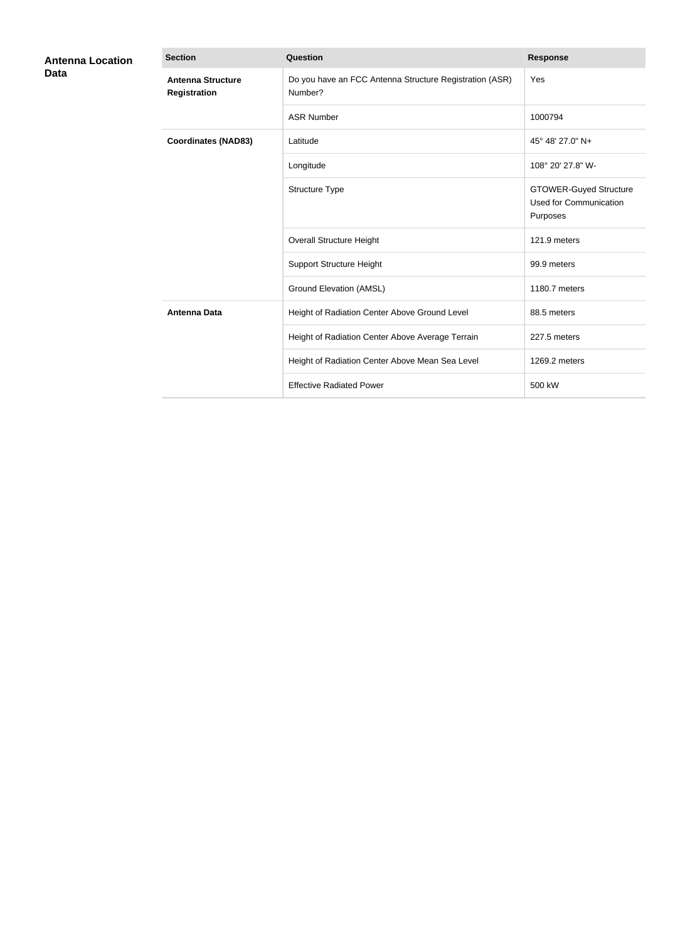| <b>Antenna Location</b><br><b>Data</b> | <b>Section</b>                                  | <b>Question</b>                                                    | <b>Response</b>                                                            |
|----------------------------------------|-------------------------------------------------|--------------------------------------------------------------------|----------------------------------------------------------------------------|
|                                        | <b>Antenna Structure</b><br><b>Registration</b> | Do you have an FCC Antenna Structure Registration (ASR)<br>Number? | Yes                                                                        |
|                                        |                                                 | <b>ASR Number</b>                                                  | 1000794                                                                    |
|                                        | <b>Coordinates (NAD83)</b>                      | Latitude                                                           | 45° 48' 27.0" N+                                                           |
|                                        |                                                 | Longitude                                                          | 108° 20' 27.8" W-                                                          |
|                                        |                                                 | Structure Type                                                     | <b>GTOWER-Guyed Structure</b><br><b>Used for Communication</b><br>Purposes |
|                                        |                                                 | <b>Overall Structure Height</b>                                    | 121.9 meters                                                               |
|                                        |                                                 | <b>Support Structure Height</b>                                    | 99.9 meters                                                                |
|                                        |                                                 | <b>Ground Elevation (AMSL)</b>                                     | 1180.7 meters                                                              |
|                                        | <b>Antenna Data</b>                             | Height of Radiation Center Above Ground Level                      | 88.5 meters                                                                |
|                                        |                                                 | Height of Radiation Center Above Average Terrain                   | 227.5 meters                                                               |
|                                        |                                                 | Height of Radiation Center Above Mean Sea Level                    | 1269.2 meters                                                              |
|                                        |                                                 | <b>Effective Radiated Power</b>                                    | 500 kW                                                                     |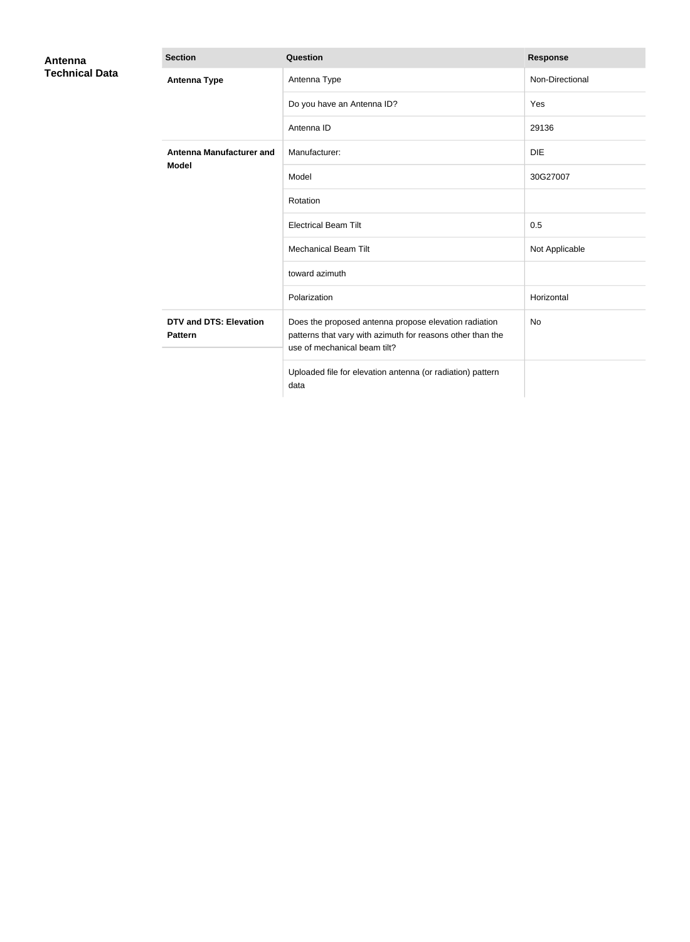| Antenna               | <b>Section</b>                                  | Question                                                                                                                                            | <b>Response</b> |
|-----------------------|-------------------------------------------------|-----------------------------------------------------------------------------------------------------------------------------------------------------|-----------------|
| <b>Technical Data</b> | <b>Antenna Type</b>                             | Antenna Type                                                                                                                                        | Non-Directional |
|                       |                                                 | Do you have an Antenna ID?                                                                                                                          | Yes             |
|                       |                                                 | Antenna ID                                                                                                                                          | 29136           |
|                       | <b>Antenna Manufacturer and</b>                 | Manufacturer:                                                                                                                                       | <b>DIE</b>      |
|                       | <b>Model</b>                                    | Model                                                                                                                                               | 30G27007        |
|                       |                                                 | Rotation                                                                                                                                            |                 |
|                       |                                                 | <b>Electrical Beam Tilt</b>                                                                                                                         | 0.5             |
|                       |                                                 | <b>Mechanical Beam Tilt</b>                                                                                                                         | Not Applicable  |
|                       |                                                 | toward azimuth                                                                                                                                      |                 |
|                       |                                                 | Polarization                                                                                                                                        | Horizontal      |
|                       | <b>DTV and DTS: Elevation</b><br><b>Pattern</b> | Does the proposed antenna propose elevation radiation<br>patterns that vary with azimuth for reasons other than the<br>use of mechanical beam tilt? | <b>No</b>       |
|                       |                                                 | Uploaded file for elevation antenna (or radiation) pattern<br>data                                                                                  |                 |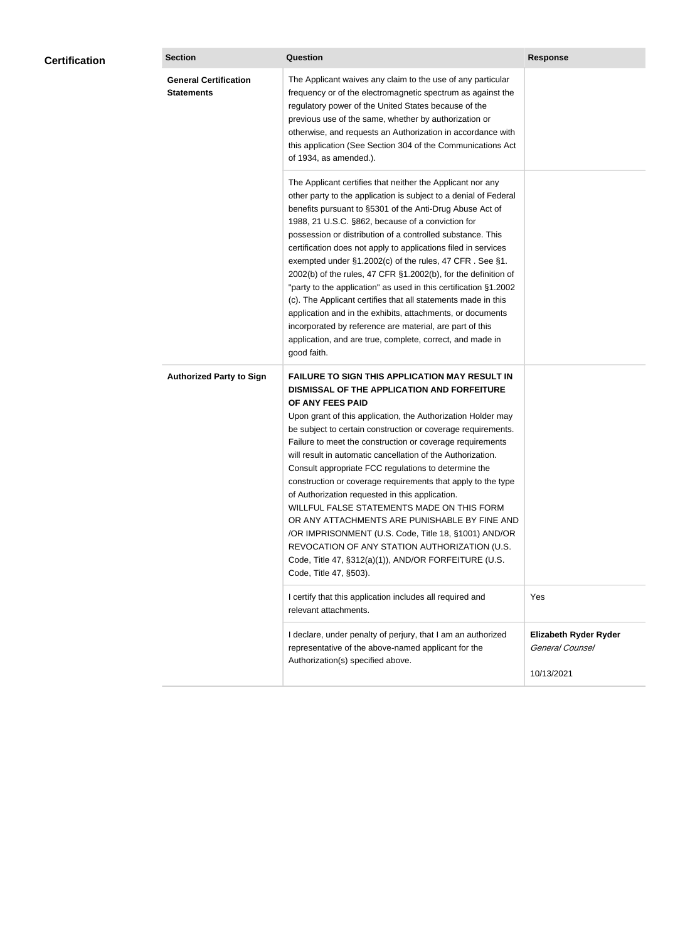| <b>General Certification</b><br>The Applicant waives any claim to the use of any particular<br><b>Statements</b><br>frequency or of the electromagnetic spectrum as against the<br>regulatory power of the United States because of the<br>previous use of the same, whether by authorization or<br>otherwise, and requests an Authorization in accordance with<br>this application (See Section 304 of the Communications Act<br>of 1934, as amended.).<br>The Applicant certifies that neither the Applicant nor any<br>other party to the application is subject to a denial of Federal<br>benefits pursuant to §5301 of the Anti-Drug Abuse Act of<br>1988, 21 U.S.C. §862, because of a conviction for<br>possession or distribution of a controlled substance. This<br>certification does not apply to applications filed in services<br>exempted under §1.2002(c) of the rules, 47 CFR. See §1.<br>2002(b) of the rules, 47 CFR §1.2002(b), for the definition of<br>"party to the application" as used in this certification §1.2002<br>(c). The Applicant certifies that all statements made in this<br>application and in the exhibits, attachments, or documents<br>incorporated by reference are material, are part of this<br>application, and are true, complete, correct, and made in<br>good faith.<br><b>FAILURE TO SIGN THIS APPLICATION MAY RESULT IN</b><br><b>Authorized Party to Sign</b><br>DISMISSAL OF THE APPLICATION AND FORFEITURE<br>OF ANY FEES PAID<br>Upon grant of this application, the Authorization Holder may<br>be subject to certain construction or coverage requirements.<br>Failure to meet the construction or coverage requirements<br>will result in automatic cancellation of the Authorization.<br>Consult appropriate FCC regulations to determine the<br>construction or coverage requirements that apply to the type<br>of Authorization requested in this application.<br>WILLFUL FALSE STATEMENTS MADE ON THIS FORM<br>OR ANY ATTACHMENTS ARE PUNISHABLE BY FINE AND<br>/OR IMPRISONMENT (U.S. Code, Title 18, §1001) AND/OR<br>REVOCATION OF ANY STATION AUTHORIZATION (U.S.<br>Code, Title 47, §312(a)(1)), AND/OR FORFEITURE (U.S.<br>Code, Title 47, §503).<br>I certify that this application includes all required and<br>Yes<br>relevant attachments.<br><b>Elizabeth Ryder Ryder</b><br>I declare, under penalty of perjury, that I am an authorized<br>General Counsel<br>representative of the above-named applicant for the<br>Authorization(s) specified above. | <b>Certification</b> | <b>Section</b> | <b>Question</b> | <b>Response</b> |
|---------------------------------------------------------------------------------------------------------------------------------------------------------------------------------------------------------------------------------------------------------------------------------------------------------------------------------------------------------------------------------------------------------------------------------------------------------------------------------------------------------------------------------------------------------------------------------------------------------------------------------------------------------------------------------------------------------------------------------------------------------------------------------------------------------------------------------------------------------------------------------------------------------------------------------------------------------------------------------------------------------------------------------------------------------------------------------------------------------------------------------------------------------------------------------------------------------------------------------------------------------------------------------------------------------------------------------------------------------------------------------------------------------------------------------------------------------------------------------------------------------------------------------------------------------------------------------------------------------------------------------------------------------------------------------------------------------------------------------------------------------------------------------------------------------------------------------------------------------------------------------------------------------------------------------------------------------------------------------------------------------------------------------------------------------------------------------------------------------------------------------------------------------------------------------------------------------------------------------------------------------------------------------------------------------------------------------------------------------------------------------------------------------------------------------------------------------------------------------------------------------------------------------|----------------------|----------------|-----------------|-----------------|
|                                                                                                                                                                                                                                                                                                                                                                                                                                                                                                                                                                                                                                                                                                                                                                                                                                                                                                                                                                                                                                                                                                                                                                                                                                                                                                                                                                                                                                                                                                                                                                                                                                                                                                                                                                                                                                                                                                                                                                                                                                                                                                                                                                                                                                                                                                                                                                                                                                                                                                                                 |                      |                |                 |                 |
|                                                                                                                                                                                                                                                                                                                                                                                                                                                                                                                                                                                                                                                                                                                                                                                                                                                                                                                                                                                                                                                                                                                                                                                                                                                                                                                                                                                                                                                                                                                                                                                                                                                                                                                                                                                                                                                                                                                                                                                                                                                                                                                                                                                                                                                                                                                                                                                                                                                                                                                                 |                      |                |                 |                 |
|                                                                                                                                                                                                                                                                                                                                                                                                                                                                                                                                                                                                                                                                                                                                                                                                                                                                                                                                                                                                                                                                                                                                                                                                                                                                                                                                                                                                                                                                                                                                                                                                                                                                                                                                                                                                                                                                                                                                                                                                                                                                                                                                                                                                                                                                                                                                                                                                                                                                                                                                 |                      |                |                 |                 |
|                                                                                                                                                                                                                                                                                                                                                                                                                                                                                                                                                                                                                                                                                                                                                                                                                                                                                                                                                                                                                                                                                                                                                                                                                                                                                                                                                                                                                                                                                                                                                                                                                                                                                                                                                                                                                                                                                                                                                                                                                                                                                                                                                                                                                                                                                                                                                                                                                                                                                                                                 |                      |                |                 |                 |
|                                                                                                                                                                                                                                                                                                                                                                                                                                                                                                                                                                                                                                                                                                                                                                                                                                                                                                                                                                                                                                                                                                                                                                                                                                                                                                                                                                                                                                                                                                                                                                                                                                                                                                                                                                                                                                                                                                                                                                                                                                                                                                                                                                                                                                                                                                                                                                                                                                                                                                                                 |                      |                |                 | 10/13/2021      |